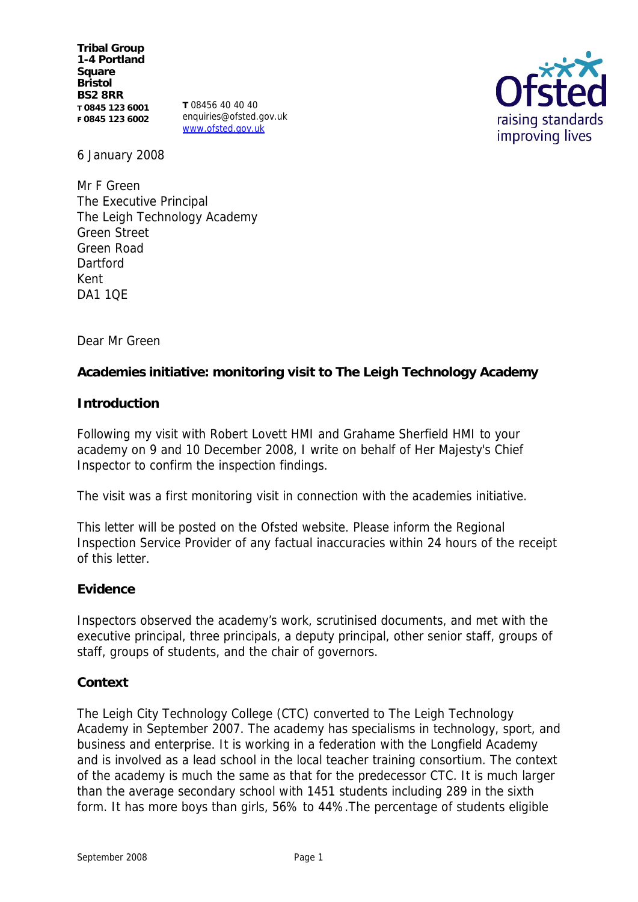**Tribal Group 1-4 Portland Square Bristol BS2 8RR T 0845 123 6001 F 0845 123 6002**

**T** 08456 40 40 40 enquiries@ofsted.gov.uk www.ofsted.gov.uk



6 January 2008

Mr F Green The Executive Principal The Leigh Technology Academy Green Street Green Road Dartford Kent DA1 10F

Dear Mr Green

**Academies initiative: monitoring visit to The Leigh Technology Academy** 

**Introduction**

Following my visit with Robert Lovett HMI and Grahame Sherfield HMI to your academy on 9 and 10 December 2008, I write on behalf of Her Majesty's Chief Inspector to confirm the inspection findings.

The visit was a first monitoring visit in connection with the academies initiative.

This letter will be posted on the Ofsted website. Please inform the Regional Inspection Service Provider of any factual inaccuracies within 24 hours of the receipt of this letter.

## **Evidence**

Inspectors observed the academy's work, scrutinised documents, and met with the executive principal, three principals, a deputy principal, other senior staff, groups of staff, groups of students, and the chair of governors.

## **Context**

The Leigh City Technology College (CTC) converted to The Leigh Technology Academy in September 2007. The academy has specialisms in technology, sport, and business and enterprise. It is working in a federation with the Longfield Academy and is involved as a lead school in the local teacher training consortium. The context of the academy is much the same as that for the predecessor CTC. It is much larger than the average secondary school with 1451 students including 289 in the sixth form. It has more boys than girls, 56% to 44%.The percentage of students eligible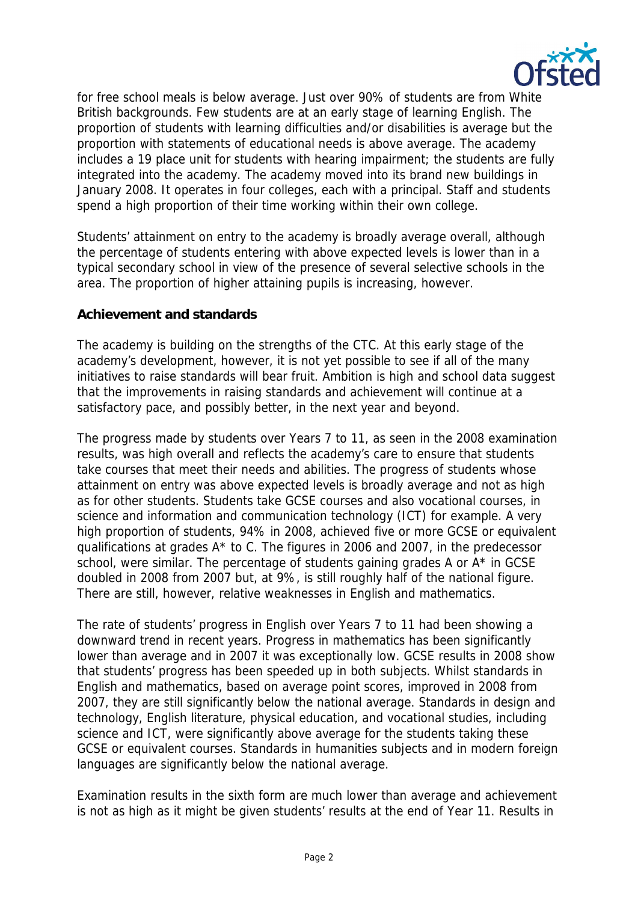

for free school meals is below average. Just over 90% of students are from White British backgrounds. Few students are at an early stage of learning English. The proportion of students with learning difficulties and/or disabilities is average but the proportion with statements of educational needs is above average. The academy includes a 19 place unit for students with hearing impairment; the students are fully integrated into the academy. The academy moved into its brand new buildings in January 2008. It operates in four colleges, each with a principal. Staff and students spend a high proportion of their time working within their own college.

Students' attainment on entry to the academy is broadly average overall, although the percentage of students entering with above expected levels is lower than in a typical secondary school in view of the presence of several selective schools in the area. The proportion of higher attaining pupils is increasing, however.

## **Achievement and standards**

The academy is building on the strengths of the CTC. At this early stage of the academy's development, however, it is not yet possible to see if all of the many initiatives to raise standards will bear fruit. Ambition is high and school data suggest that the improvements in raising standards and achievement will continue at a satisfactory pace, and possibly better, in the next year and beyond.

The progress made by students over Years 7 to 11, as seen in the 2008 examination results, was high overall and reflects the academy's care to ensure that students take courses that meet their needs and abilities. The progress of students whose attainment on entry was above expected levels is broadly average and not as high as for other students. Students take GCSE courses and also vocational courses, in science and information and communication technology (ICT) for example. A very high proportion of students, 94% in 2008, achieved five or more GCSE or equivalent qualifications at grades A\* to C. The figures in 2006 and 2007, in the predecessor school, were similar. The percentage of students gaining grades A or A\* in GCSE doubled in 2008 from 2007 but, at 9%, is still roughly half of the national figure. There are still, however, relative weaknesses in English and mathematics.

The rate of students' progress in English over Years 7 to 11 had been showing a downward trend in recent years. Progress in mathematics has been significantly lower than average and in 2007 it was exceptionally low. GCSE results in 2008 show that students' progress has been speeded up in both subjects. Whilst standards in English and mathematics, based on average point scores, improved in 2008 from 2007, they are still significantly below the national average. Standards in design and technology, English literature, physical education, and vocational studies, including science and ICT, were significantly above average for the students taking these GCSE or equivalent courses. Standards in humanities subjects and in modern foreign languages are significantly below the national average.

Examination results in the sixth form are much lower than average and achievement is not as high as it might be given students' results at the end of Year 11. Results in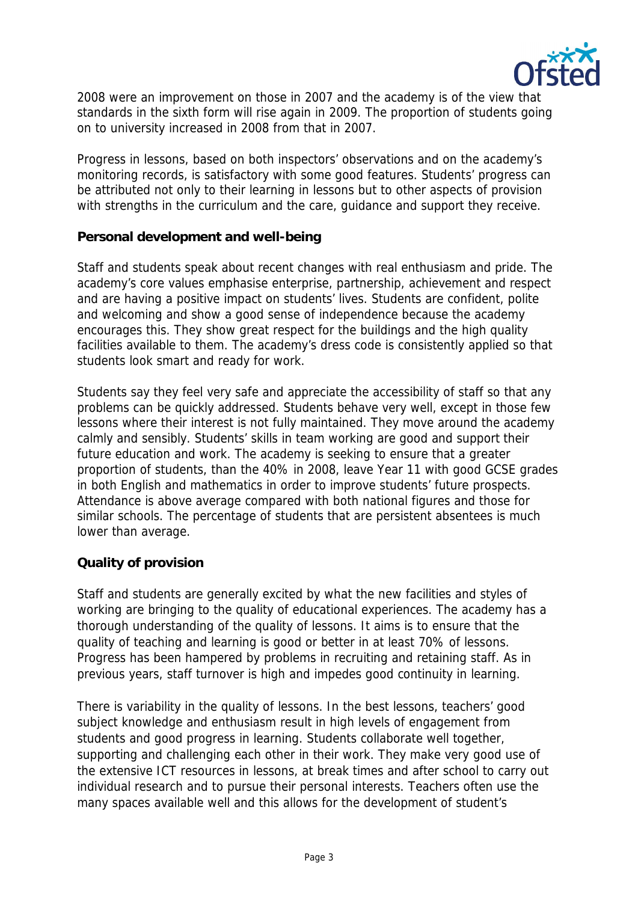

2008 were an improvement on those in 2007 and the academy is of the view that standards in the sixth form will rise again in 2009. The proportion of students going on to university increased in 2008 from that in 2007.

Progress in lessons, based on both inspectors' observations and on the academy's monitoring records, is satisfactory with some good features. Students' progress can be attributed not only to their learning in lessons but to other aspects of provision with strengths in the curriculum and the care, guidance and support they receive.

**Personal development and well-being**

Staff and students speak about recent changes with real enthusiasm and pride. The academy's core values emphasise enterprise, partnership, achievement and respect and are having a positive impact on students' lives. Students are confident, polite and welcoming and show a good sense of independence because the academy encourages this. They show great respect for the buildings and the high quality facilities available to them. The academy's dress code is consistently applied so that students look smart and ready for work.

Students say they feel very safe and appreciate the accessibility of staff so that any problems can be quickly addressed. Students behave very well, except in those few lessons where their interest is not fully maintained. They move around the academy calmly and sensibly. Students' skills in team working are good and support their future education and work. The academy is seeking to ensure that a greater proportion of students, than the 40% in 2008, leave Year 11 with good GCSE grades in both English and mathematics in order to improve students' future prospects. Attendance is above average compared with both national figures and those for similar schools. The percentage of students that are persistent absentees is much lower than average.

## **Quality of provision**

Staff and students are generally excited by what the new facilities and styles of working are bringing to the quality of educational experiences. The academy has a thorough understanding of the quality of lessons. It aims is to ensure that the quality of teaching and learning is good or better in at least 70% of lessons. Progress has been hampered by problems in recruiting and retaining staff. As in previous years, staff turnover is high and impedes good continuity in learning.

There is variability in the quality of lessons. In the best lessons, teachers' good subject knowledge and enthusiasm result in high levels of engagement from students and good progress in learning. Students collaborate well together, supporting and challenging each other in their work. They make very good use of the extensive ICT resources in lessons, at break times and after school to carry out individual research and to pursue their personal interests. Teachers often use the many spaces available well and this allows for the development of student's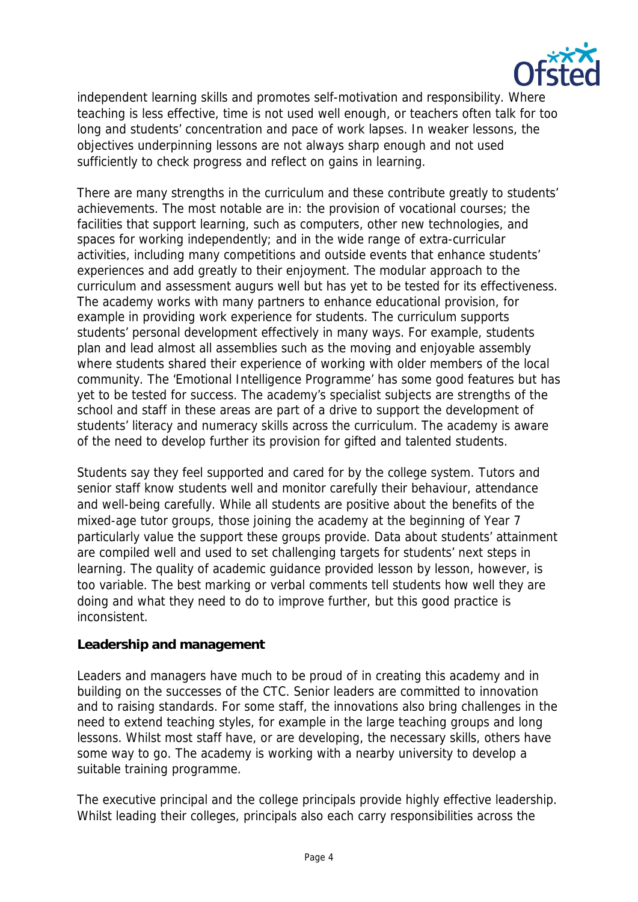

independent learning skills and promotes self-motivation and responsibility. Where teaching is less effective, time is not used well enough, or teachers often talk for too long and students' concentration and pace of work lapses. In weaker lessons, the objectives underpinning lessons are not always sharp enough and not used sufficiently to check progress and reflect on gains in learning.

There are many strengths in the curriculum and these contribute greatly to students' achievements. The most notable are in: the provision of vocational courses; the facilities that support learning, such as computers, other new technologies, and spaces for working independently; and in the wide range of extra-curricular activities, including many competitions and outside events that enhance students' experiences and add greatly to their enjoyment. The modular approach to the curriculum and assessment augurs well but has yet to be tested for its effectiveness. The academy works with many partners to enhance educational provision, for example in providing work experience for students. The curriculum supports students' personal development effectively in many ways. For example, students plan and lead almost all assemblies such as the moving and enjoyable assembly where students shared their experience of working with older members of the local community. The 'Emotional Intelligence Programme' has some good features but has yet to be tested for success. The academy's specialist subjects are strengths of the school and staff in these areas are part of a drive to support the development of students' literacy and numeracy skills across the curriculum. The academy is aware of the need to develop further its provision for gifted and talented students.

Students say they feel supported and cared for by the college system. Tutors and senior staff know students well and monitor carefully their behaviour, attendance and well-being carefully. While all students are positive about the benefits of the mixed-age tutor groups, those joining the academy at the beginning of Year 7 particularly value the support these groups provide. Data about students' attainment are compiled well and used to set challenging targets for students' next steps in learning. The quality of academic guidance provided lesson by lesson, however, is too variable. The best marking or verbal comments tell students how well they are doing and what they need to do to improve further, but this good practice is inconsistent.

## **Leadership and management**

Leaders and managers have much to be proud of in creating this academy and in building on the successes of the CTC. Senior leaders are committed to innovation and to raising standards. For some staff, the innovations also bring challenges in the need to extend teaching styles, for example in the large teaching groups and long lessons. Whilst most staff have, or are developing, the necessary skills, others have some way to go. The academy is working with a nearby university to develop a suitable training programme.

The executive principal and the college principals provide highly effective leadership. Whilst leading their colleges, principals also each carry responsibilities across the